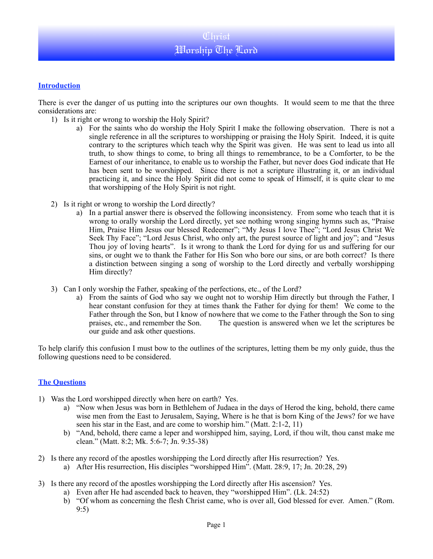## **Introduction**

There is ever the danger of us putting into the scriptures our own thoughts. It would seem to me that the three considerations are:

- 1) Is it right or wrong to worship the Holy Spirit?
	- a) For the saints who do worship the Holy Spirit I make the following observation. There is not a single reference in all the scriptures to worshipping or praising the Holy Spirit. Indeed, it is quite contrary to the scriptures which teach why the Spirit was given. He was sent to lead us into all truth, to show things to come, to bring all things to remembrance, to be a Comforter, to be the Earnest of our inheritance, to enable us to worship the Father, but never does God indicate that He has been sent to be worshipped. Since there is not a scripture illustrating it, or an individual practicing it, and since the Holy Spirit did not come to speak of Himself, it is quite clear to me that worshipping of the Holy Spirit is not right.
- 2) Is it right or wrong to worship the Lord directly?
	- a) In a partial answer there is observed the following inconsistency. From some who teach that it is wrong to orally worship the Lord directly, yet see nothing wrong singing hymns such as, "Praise Him, Praise Him Jesus our blessed Redeemer"; "My Jesus I love Thee"; "Lord Jesus Christ We Seek Thy Face"; "Lord Jesus Christ, who only art, the purest source of light and joy"; and "Jesus Thou joy of loving hearts". Is it wrong to thank the Lord for dying for us and suffering for our sins, or ought we to thank the Father for His Son who bore our sins, or are both correct? Is there a distinction between singing a song of worship to the Lord directly and verbally worshipping Him directly?
- 3) Can I only worship the Father, speaking of the perfections, etc., of the Lord?
	- a) From the saints of God who say we ought not to worship Him directly but through the Father, I hear constant confusion for they at times thank the Father for dying for them! We come to the Father through the Son, but I know of nowhere that we come to the Father through the Son to sing praises, etc., and remember the Son. The question is answered when we let the scriptures be our guide and ask other questions.

To help clarify this confusion I must bow to the outlines of the scriptures, letting them be my only guide, thus the following questions need to be considered.

## **The Questions**

- 1) Was the Lord worshipped directly when here on earth? Yes.
	- a) "Now when Jesus was born in Bethlehem of Judaea in the days of Herod the king, behold, there came wise men from the East to Jerusalem, Saying, Where is he that is born King of the Jews? for we have seen his star in the East, and are come to worship him." (Matt. 2:1-2, 11)
	- b) "And, behold, there came a leper and worshipped him, saying, Lord, if thou wilt, thou canst make me clean." (Matt. 8:2; Mk. 5:6-7; Jn. 9:35-38)
- 2) Is there any record of the apostles worshipping the Lord directly after His resurrection? Yes.
	- a) After His resurrection, His disciples "worshipped Him". (Matt. 28:9, 17; Jn. 20:28, 29)
- 3) Is there any record of the apostles worshipping the Lord directly after His ascension? Yes.
	- a) Even after He had ascended back to heaven, they "worshipped Him". (Lk. 24:52)
	- b) "Of whom as concerning the flesh Christ came, who is over all, God blessed for ever. Amen." (Rom. 9:5)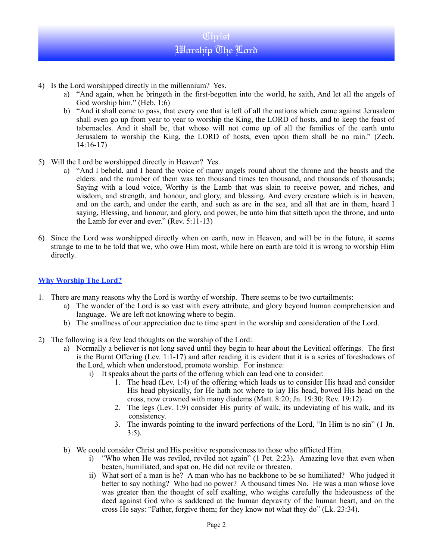- 4) Is the Lord worshipped directly in the millennium? Yes.
	- a) "And again, when he bringeth in the first-begotten into the world, he saith, And let all the angels of God worship him." (Heb. 1:6)
	- b) "And it shall come to pass, that every one that is left of all the nations which came against Jerusalem shall even go up from year to year to worship the King, the LORD of hosts, and to keep the feast of tabernacles. And it shall be, that whoso will not come up of all the families of the earth unto Jerusalem to worship the King, the LORD of hosts, even upon them shall be no rain." (Zech. 14:16-17)
- 5) Will the Lord be worshipped directly in Heaven? Yes.
	- a) "And I beheld, and I heard the voice of many angels round about the throne and the beasts and the elders: and the number of them was ten thousand times ten thousand, and thousands of thousands; Saying with a loud voice, Worthy is the Lamb that was slain to receive power, and riches, and wisdom, and strength, and honour, and glory, and blessing. And every creature which is in heaven, and on the earth, and under the earth, and such as are in the sea, and all that are in them, heard I saying, Blessing, and honour, and glory, and power, be unto him that sitteth upon the throne, and unto the Lamb for ever and ever." (Rev. 5:11-13)
- 6) Since the Lord was worshipped directly when on earth, now in Heaven, and will be in the future, it seems strange to me to be told that we, who owe Him most, while here on earth are told it is wrong to worship Him directly.

## **Why Worship The Lord?**

- 1. There are many reasons why the Lord is worthy of worship. There seems to be two curtailments:
	- a) The wonder of the Lord is so vast with every attribute, and glory beyond human comprehension and language. We are left not knowing where to begin.
	- b) The smallness of our appreciation due to time spent in the worship and consideration of the Lord.
- 2) The following is a few lead thoughts on the worship of the Lord:
	- a) Normally a believer is not long saved until they begin to hear about the Levitical offerings. The first is the Burnt Offering (Lev. 1:1-17) and after reading it is evident that it is a series of foreshadows of the Lord, which when understood, promote worship. For instance:
		- i) It speaks about the parts of the offering which can lead one to consider:
			- 1. The head (Lev. 1:4) of the offering which leads us to consider His head and consider His head physically, for He hath not where to lay His head, bowed His head on the cross, now crowned with many diadems (Matt. 8:20; Jn. 19:30; Rev. 19:12)
			- 2. The legs (Lev. 1:9) consider His purity of walk, its undeviating of his walk, and its consistency.
			- 3. The inwards pointing to the inward perfections of the Lord, "In Him is no sin" (1 Jn. 3:5).
	- b) We could consider Christ and His positive responsiveness to those who afflicted Him.
		- i) "Who when He was reviled, reviled not again" (1 Pet. 2:23). Amazing love that even when beaten, humiliated, and spat on, He did not revile or threaten.
		- ii) What sort of a man is he? A man who has no backbone to be so humiliated? Who judged it better to say nothing? Who had no power? A thousand times No. He was a man whose love was greater than the thought of self exalting, who weighs carefully the hideousness of the deed against God who is saddened at the human depravity of the human heart, and on the cross He says: "Father, forgive them; for they know not what they do" (Lk. 23:34).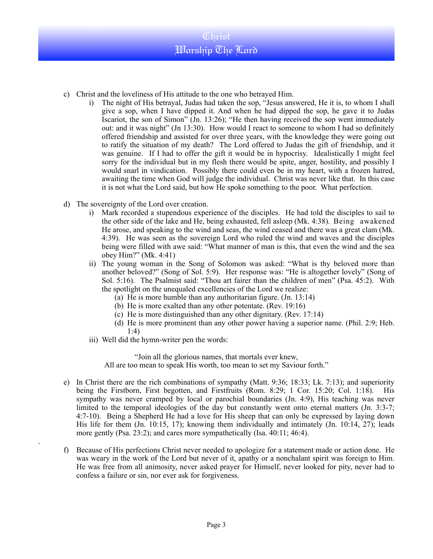- c) Christ and the loveliness of His attitude to the one who betrayed Him.
	- i) The night of His betrayal, Judas had taken the sop, "Jesus answered, He it is, to whom I shall give a sop, when I have dipped it. And when he had dipped the sop, he gave it to Judas Iscariot, the son of Simon" (Jn. 13:26); "He then having received the sop went immediately out: and it was night" (Jn 13:30). How would I react to someone to whom I had so definitely offered friendship and assisted for over three years, with the knowledge they were going out to ratify the situation of my death? The Lord offered to Judas the gift of friendship, and it was genuine. If I had to offer the gift it would be in hypocrisy. Idealistically I might feel sorry for the individual but in my flesh there would be spite, anger, hostility, and possibly I would snarl in vindication. Possibly there could even be in my heart, with a frozen hatred, awaiting the time when God will judge the individual. Christ was never like that. In this case it is not what the Lord said, but how He spoke something to the poor. What perfection.
- d) The sovereignty of the Lord over creation.
	- i) Mark recorded a stupendous experience of the disciples. He had told the disciples to sail to the other side of the lake and He, being exhausted, fell asleep (Mk. 4:38). Being awakened He arose, and speaking to the wind and seas, the wind ceased and there was a great clam (Mk. 4:39). He was seen as the sovereign Lord who ruled the wind and waves and the disciples being were filled with awe said: "What manner of man is this, that even the wind and the sea obey Him?" (Mk. 4:41)
	- ii) The young woman in the Song of Solomon was asked: "What is thy beloved more than another beloved?" (Song of Sol. 5:9). Her response was: "He is altogether lovely" (Song of Sol. 5:16). The Psalmist said: "Thou art fairer than the children of men" (Psa. 45:2). With the spotlight on the unequaled excellencies of the Lord we realize:
		- (a) He is more humble than any authoritarian figure. (Jn. 13:14)
		- (b) He is more exalted than any other potentate. (Rev. 19:16)
		- (c) He is more distinguished than any other dignitary. (Rev. 17:14)
		- (d) He is more prominent than any other power having a superior name. (Phil. 2:9; Heb. 1:4)
	- iii) Well did the hymn-writer pen the words:

.

"Join all the glorious names, that mortals ever knew, All are too mean to speak His worth, too mean to set my Saviour forth."

- e) In Christ there are the rich combinations of sympathy (Matt. 9:36; 18:33; Lk. 7:13); and superiority being the Firstborn, First begotten, and Firstfruits (Rom. 8:29; 1 Cor. 15:20; Col. 1:18). His sympathy was never cramped by local or parochial boundaries (Jn. 4:9), His teaching was never limited to the temporal ideologies of the day but constantly went onto eternal matters (Jn. 3:3-7; 4:7-10). Being a Shepherd He had a love for His sheep that can only be expressed by laying down His life for them (Jn. 10:15, 17); knowing them individually and intimately (Jn. 10:14, 27); leads more gently (Psa. 23:2); and cares more sympathetically (Isa. 40:11; 46:4).
- f) Because of His perfections Christ never needed to apologize for a statement made or action done. He was weary in the work of the Lord but never of it, apathy or a nonchalant spirit was foreign to Him. He was free from all animosity, never asked prayer for Himself, never looked for pity, never had to confess a failure or sin, nor ever ask for forgiveness.